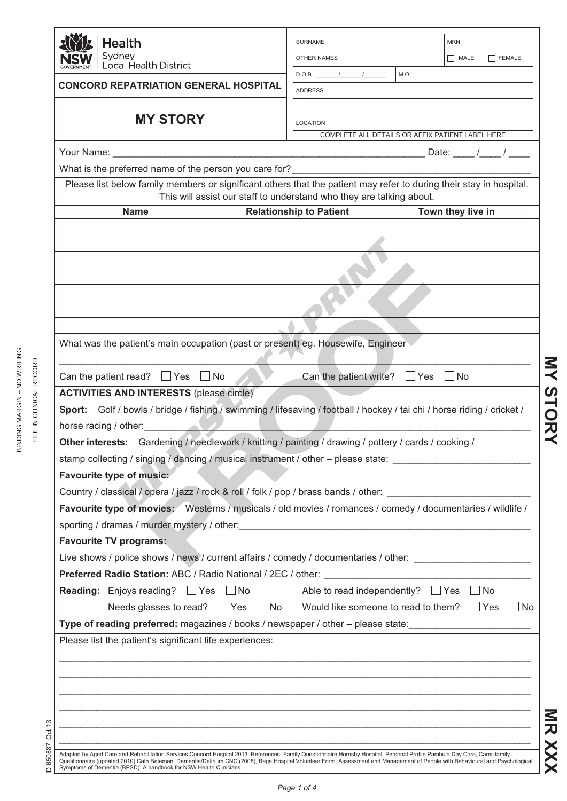| <b>Health</b>                                |                                                                                                                                                                                                                                                                                                                                                             |                | <b>SURNAME</b>                                                       |  | <b>MRN</b>                                       |
|----------------------------------------------|-------------------------------------------------------------------------------------------------------------------------------------------------------------------------------------------------------------------------------------------------------------------------------------------------------------------------------------------------------------|----------------|----------------------------------------------------------------------|--|--------------------------------------------------|
|                                              | Sydney                                                                                                                                                                                                                                                                                                                                                      |                | <b>OTHER NAMES</b>                                                   |  | MALE<br>  FEMALE                                 |
|                                              | Local Health District                                                                                                                                                                                                                                                                                                                                       |                | $D.O.B.$ $/$ $/$ $/$ $/$ $/$ $M.O.$                                  |  |                                                  |
| <b>CONCORD REPATRIATION GENERAL HOSPITAL</b> |                                                                                                                                                                                                                                                                                                                                                             | <b>ADDRESS</b> |                                                                      |  |                                                  |
|                                              |                                                                                                                                                                                                                                                                                                                                                             |                |                                                                      |  |                                                  |
|                                              | <b>MY STORY</b>                                                                                                                                                                                                                                                                                                                                             |                | <b>LOCATION</b>                                                      |  |                                                  |
|                                              |                                                                                                                                                                                                                                                                                                                                                             |                |                                                                      |  | COMPLETE ALL DETAILS OR AFFIX PATIENT LABEL HERE |
|                                              |                                                                                                                                                                                                                                                                                                                                                             |                |                                                                      |  |                                                  |
|                                              |                                                                                                                                                                                                                                                                                                                                                             |                |                                                                      |  |                                                  |
|                                              | Please list below family members or significant others that the patient may refer to during their stay in hospital.                                                                                                                                                                                                                                         |                | This will assist our staff to understand who they are talking about. |  |                                                  |
|                                              | <b>Name</b>                                                                                                                                                                                                                                                                                                                                                 |                | <b>Relationship to Patient</b>                                       |  | Town they live in                                |
|                                              |                                                                                                                                                                                                                                                                                                                                                             |                |                                                                      |  |                                                  |
|                                              |                                                                                                                                                                                                                                                                                                                                                             |                |                                                                      |  |                                                  |
|                                              |                                                                                                                                                                                                                                                                                                                                                             |                |                                                                      |  |                                                  |
|                                              |                                                                                                                                                                                                                                                                                                                                                             |                |                                                                      |  |                                                  |
|                                              |                                                                                                                                                                                                                                                                                                                                                             |                |                                                                      |  |                                                  |
|                                              |                                                                                                                                                                                                                                                                                                                                                             |                |                                                                      |  |                                                  |
|                                              |                                                                                                                                                                                                                                                                                                                                                             |                |                                                                      |  |                                                  |
|                                              | What was the patient's main occupation (past or present) eg. Housewife, Engineer                                                                                                                                                                                                                                                                            |                |                                                                      |  |                                                  |
|                                              |                                                                                                                                                                                                                                                                                                                                                             |                |                                                                      |  |                                                  |
|                                              | Can the patient read? $\Box$ Yes $\Box$ No                                                                                                                                                                                                                                                                                                                  |                | Can the patient write? $\Box$ Yes $\Box$ No                          |  |                                                  |
|                                              | <b>ACTIVITIES AND INTERESTS (please circle)</b>                                                                                                                                                                                                                                                                                                             |                |                                                                      |  |                                                  |
|                                              | Sport: Golf / bowls / bridge / fishing / swimming / lifesaving / football / hockey / tai chi / horse riding / cricket /                                                                                                                                                                                                                                     |                |                                                                      |  |                                                  |
|                                              | horse racing / other:                                                                                                                                                                                                                                                                                                                                       |                |                                                                      |  |                                                  |
|                                              | Other interests: Gardening / needlework / knitting / painting / drawing / pottery / cards / cooking /                                                                                                                                                                                                                                                       |                |                                                                      |  |                                                  |
|                                              | stamp collecting / singing / dancing / musical instrument / other - please state: ___________________________                                                                                                                                                                                                                                               |                |                                                                      |  |                                                  |
|                                              | <b>Favourite type of music:</b>                                                                                                                                                                                                                                                                                                                             |                |                                                                      |  |                                                  |
|                                              | Country / classical / opera / jazz / rock & roll / folk / pop / brass bands / other: _________________________                                                                                                                                                                                                                                              |                |                                                                      |  |                                                  |
|                                              | Favourite type of movies: Westerns / musicals / old movies / romances / comedy / documentaries / wildlife /                                                                                                                                                                                                                                                 |                |                                                                      |  |                                                  |
|                                              | sporting / dramas / murder mystery / other: \\comes \\comes \\comes \\comes \\comes \\comes \\comes \\comes \\comes \\comes \\comes \\comes \\comes \\comes \\comes \\comes \\comes \\comes \\comes \\comes \\comes \\comes \\                                                                                                                              |                |                                                                      |  |                                                  |
|                                              | <b>Favourite TV programs:</b>                                                                                                                                                                                                                                                                                                                               |                |                                                                      |  |                                                  |
|                                              | Live shows / police shows / news / current affairs / comedy / documentaries / other: ________________________                                                                                                                                                                                                                                               |                |                                                                      |  |                                                  |
|                                              |                                                                                                                                                                                                                                                                                                                                                             |                |                                                                      |  |                                                  |
|                                              | <b>Reading:</b> Enjoys reading? $\Box$ Yes $\Box$ No Able to read independently? $\Box$ Yes $\Box$ No                                                                                                                                                                                                                                                       |                |                                                                      |  |                                                  |
|                                              | Needs glasses to read? $\Box$ Yes $\Box$ No Would like someone to read to them? $\Box$ Yes                                                                                                                                                                                                                                                                  |                |                                                                      |  | No                                               |
|                                              | Type of reading preferred: magazines / books / newspaper / other - please state:                                                                                                                                                                                                                                                                            |                |                                                                      |  |                                                  |
|                                              | Please list the patient's significant life experiences:                                                                                                                                                                                                                                                                                                     |                |                                                                      |  |                                                  |
|                                              |                                                                                                                                                                                                                                                                                                                                                             |                |                                                                      |  |                                                  |
|                                              |                                                                                                                                                                                                                                                                                                                                                             |                |                                                                      |  |                                                  |
|                                              |                                                                                                                                                                                                                                                                                                                                                             |                |                                                                      |  |                                                  |
|                                              |                                                                                                                                                                                                                                                                                                                                                             |                |                                                                      |  |                                                  |
|                                              |                                                                                                                                                                                                                                                                                                                                                             |                |                                                                      |  |                                                  |
|                                              |                                                                                                                                                                                                                                                                                                                                                             |                |                                                                      |  |                                                  |
|                                              | Adapted by Aged Care and Rehabilitation Services Concord Hospital 2013. References: Family Questionnaire Hornsby Hospital, Personal Profile Pambula Day Care, Carer-family<br>Questionnaire (updated 2010) Cath Bateman, Dementia/Delirium CNC (2008), Bega Hospital Volunteer Form, Assessment and Management of People with Behavioural and Psychological |                |                                                                      |  |                                                  |
|                                              | Symptoms of Dementia (BPSD). A handbook for NSW Health Clinicians.                                                                                                                                                                                                                                                                                          |                |                                                                      |  |                                                  |

BINDING MARGIN – NO WRITING FILE IN CLINICAL RECORD

FILE IN CLINICAL RECORD

BINDING MARGIN - NO WRITING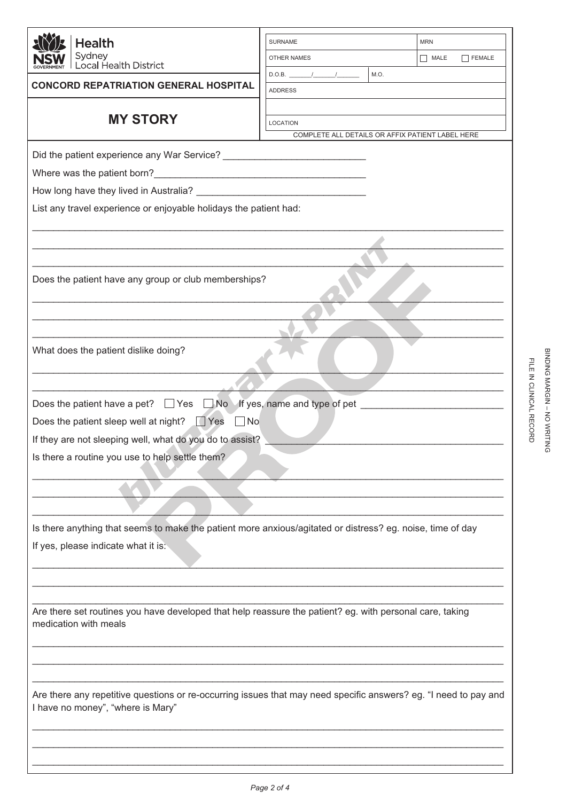| Health                                                                                                                                                | <b>SURNAME</b>                                                      |      | <b>MRN</b>  |               |  |
|-------------------------------------------------------------------------------------------------------------------------------------------------------|---------------------------------------------------------------------|------|-------------|---------------|--|
| Sydney                                                                                                                                                | OTHER NAMES                                                         |      | $\Box$ MALE | $\Box$ FEMALE |  |
| Local Health District                                                                                                                                 |                                                                     | M.O. |             |               |  |
| <b>CONCORD REPATRIATION GENERAL HOSPITAL</b>                                                                                                          | <b>ADDRESS</b>                                                      |      |             |               |  |
|                                                                                                                                                       |                                                                     |      |             |               |  |
| <b>MY STORY</b>                                                                                                                                       | <b>LOCATION</b><br>COMPLETE ALL DETAILS OR AFFIX PATIENT LABEL HERE |      |             |               |  |
|                                                                                                                                                       |                                                                     |      |             |               |  |
|                                                                                                                                                       |                                                                     |      |             |               |  |
|                                                                                                                                                       |                                                                     |      |             |               |  |
|                                                                                                                                                       |                                                                     |      |             |               |  |
| List any travel experience or enjoyable holidays the patient had:                                                                                     |                                                                     |      |             |               |  |
|                                                                                                                                                       |                                                                     |      |             |               |  |
|                                                                                                                                                       |                                                                     |      |             |               |  |
|                                                                                                                                                       |                                                                     |      |             |               |  |
| Does the patient have any group or club memberships?                                                                                                  |                                                                     |      |             |               |  |
|                                                                                                                                                       |                                                                     |      |             |               |  |
|                                                                                                                                                       |                                                                     |      |             |               |  |
|                                                                                                                                                       |                                                                     |      |             |               |  |
| What does the patient dislike doing?                                                                                                                  |                                                                     |      |             |               |  |
|                                                                                                                                                       |                                                                     |      |             |               |  |
|                                                                                                                                                       |                                                                     |      |             |               |  |
| Does the patient have a pet? $\Box$ Yes $\Box$ No If yes, name and type of pet $\Box$                                                                 |                                                                     |      |             |               |  |
| Does the patient sleep well at night? $\Box$ Yes $\Box$ No                                                                                            |                                                                     |      |             |               |  |
| If they are not sleeping well, what do you do to assist?                                                                                              |                                                                     |      |             |               |  |
| Is there a routine you use to help settle them?                                                                                                       |                                                                     |      |             |               |  |
|                                                                                                                                                       |                                                                     |      |             |               |  |
|                                                                                                                                                       |                                                                     |      |             |               |  |
|                                                                                                                                                       |                                                                     |      |             |               |  |
| Is there anything that seems to make the patient more anxious/agitated or distress? eg. noise, time of day                                            |                                                                     |      |             |               |  |
| If yes, please indicate what it is:                                                                                                                   |                                                                     |      |             |               |  |
|                                                                                                                                                       |                                                                     |      |             |               |  |
|                                                                                                                                                       |                                                                     |      |             |               |  |
|                                                                                                                                                       |                                                                     |      |             |               |  |
| Are there set routines you have developed that help reassure the patient? eg. with personal care, taking<br>medication with meals                     |                                                                     |      |             |               |  |
|                                                                                                                                                       |                                                                     |      |             |               |  |
|                                                                                                                                                       |                                                                     |      |             |               |  |
|                                                                                                                                                       |                                                                     |      |             |               |  |
|                                                                                                                                                       |                                                                     |      |             |               |  |
| Are there any repetitive questions or re-occurring issues that may need specific answers? eg. "I need to pay and<br>I have no money", "where is Mary" |                                                                     |      |             |               |  |
|                                                                                                                                                       |                                                                     |      |             |               |  |
|                                                                                                                                                       |                                                                     |      |             |               |  |
|                                                                                                                                                       |                                                                     |      |             |               |  |
|                                                                                                                                                       |                                                                     |      |             |               |  |

FILE IN CLINICAL RECORD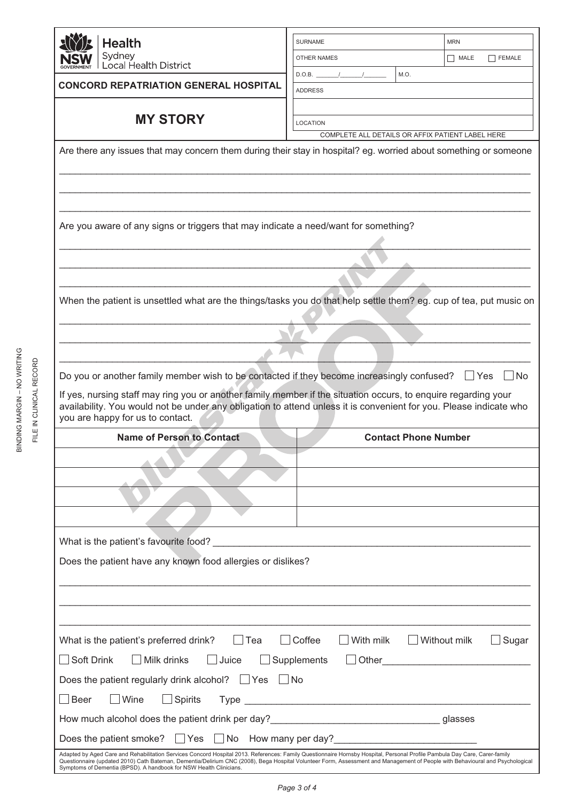| <b>Xivity</b>   Health                                     |
|------------------------------------------------------------|
| $\sum_{\text{GovERNMENT}}$ Sydney<br>Local Health District |

**CONCORD REPATRIATION GENERAL HOSPITAL**

## SURNAME OTHER NAMES  $\Box$  MALE  $\Box$  FEMALE D.O.B.  $\frac{1}{\sqrt{2}}$  M.O. ADDRESS

## **MY STORY**  $\qquad \qquad \qquad$

COMPLETE ALL DETAILS OR AFFIX PATIENT LABEL HERE

Are there any issues that may concern them during their stay in hospital? eg. worried about something or someone

\_\_\_\_\_\_\_\_\_\_\_\_\_\_\_\_\_\_\_\_\_\_\_\_\_\_\_\_\_\_\_\_\_\_\_\_\_\_\_\_\_\_\_\_\_\_\_\_\_\_\_\_\_\_\_\_\_\_\_\_\_\_\_\_\_\_\_\_\_\_\_\_\_\_\_\_\_\_\_\_\_\_\_\_\_\_\_\_\_ \_\_\_\_\_\_\_\_\_\_\_\_\_\_\_\_\_\_\_\_\_\_\_\_\_\_\_\_\_\_\_\_\_\_\_\_\_\_\_\_\_\_\_\_\_\_\_\_\_\_\_\_\_\_\_\_\_\_\_\_\_\_\_\_\_\_\_\_\_\_\_\_\_\_\_\_\_\_\_\_\_\_\_\_\_\_\_\_\_ \_\_\_\_\_\_\_\_\_\_\_\_\_\_\_\_\_\_\_\_\_\_\_\_\_\_\_\_\_\_\_\_\_\_\_\_\_\_\_\_\_\_\_\_\_\_\_\_\_\_\_\_\_\_\_\_\_\_\_\_\_\_\_\_\_\_\_\_\_\_\_\_\_\_\_\_\_\_\_\_\_\_\_\_\_\_\_\_\_

Are you aware of any signs or triggers that may indicate a need/want for something?

\_\_\_\_\_\_\_\_\_\_\_\_\_\_\_\_\_\_\_\_\_\_\_\_\_\_\_\_\_\_\_\_\_\_\_\_\_\_\_\_\_\_\_\_\_\_\_\_\_\_\_\_\_\_\_\_\_\_\_\_\_\_\_\_\_\_\_\_\_\_\_\_\_\_\_\_\_\_\_\_\_\_\_\_\_\_\_\_\_ When the patient is unsettled what are the things/tasks you do that help settle them? eq. cup of tea, put music on

 $\mathcal{L}_\mathcal{L} = \mathcal{L}_\mathcal{L} = \mathcal{L}_\mathcal{L} = \mathcal{L}_\mathcal{L} = \mathcal{L}_\mathcal{L} = \mathcal{L}_\mathcal{L} = \mathcal{L}_\mathcal{L} = \mathcal{L}_\mathcal{L} = \mathcal{L}_\mathcal{L} = \mathcal{L}_\mathcal{L} = \mathcal{L}_\mathcal{L} = \mathcal{L}_\mathcal{L} = \mathcal{L}_\mathcal{L} = \mathcal{L}_\mathcal{L} = \mathcal{L}_\mathcal{L} = \mathcal{L}_\mathcal{L} = \mathcal{L}_\mathcal{L}$ \_\_\_\_\_\_\_\_\_\_\_\_\_\_\_\_\_\_\_\_\_\_\_\_\_\_\_\_\_\_\_\_\_\_\_\_\_\_\_\_\_\_\_\_\_\_\_\_\_\_\_\_\_\_\_\_\_\_\_\_\_\_\_\_\_\_\_\_\_\_\_\_\_\_\_\_\_\_\_\_\_\_\_\_\_\_\_\_\_ \_\_\_\_\_\_\_\_\_\_\_\_\_\_\_\_\_\_\_\_\_\_\_\_\_\_\_\_\_\_\_\_\_\_\_\_\_\_\_\_\_\_\_\_\_\_\_\_\_\_\_\_\_\_\_\_\_\_\_\_\_\_\_\_\_\_\_\_\_\_\_\_\_\_\_\_\_\_\_\_\_\_\_\_\_\_\_\_\_

\_\_\_\_\_\_\_\_\_\_\_\_\_\_\_\_\_\_\_\_\_\_\_\_\_\_\_\_\_\_\_\_\_\_\_\_\_\_\_\_\_\_\_\_\_\_\_\_\_\_\_\_\_\_\_\_\_\_\_\_\_\_\_\_\_\_\_\_\_\_\_\_\_\_\_\_\_\_\_\_\_\_\_\_\_\_\_\_\_ \_\_\_\_\_\_\_\_\_\_\_\_\_\_\_\_\_\_\_\_\_\_\_\_\_\_\_\_\_\_\_\_\_\_\_\_\_\_\_\_\_\_\_\_\_\_\_\_\_\_\_\_\_\_\_\_\_\_\_\_\_\_\_\_\_\_\_\_\_\_\_\_\_\_\_\_\_\_\_\_\_\_\_\_\_\_\_\_\_

Do you or another family member wish to be contacted if they become increasingly confused?  $\Box$  Yes  $\Box$  No

If yes, nursing staff may ring you or another family member if the situation occurs, to enquire regarding your availability. You would not be under any obligation to attend unless it is convenient for you. Please indicate who you are happy for us to contact.

| <b>Name of Person to Contact</b>                                                                            | <b>Contact Phone Number</b>                                                                                                                                                                                                                                                                                                                                 |
|-------------------------------------------------------------------------------------------------------------|-------------------------------------------------------------------------------------------------------------------------------------------------------------------------------------------------------------------------------------------------------------------------------------------------------------------------------------------------------------|
|                                                                                                             |                                                                                                                                                                                                                                                                                                                                                             |
|                                                                                                             |                                                                                                                                                                                                                                                                                                                                                             |
|                                                                                                             |                                                                                                                                                                                                                                                                                                                                                             |
|                                                                                                             |                                                                                                                                                                                                                                                                                                                                                             |
|                                                                                                             |                                                                                                                                                                                                                                                                                                                                                             |
|                                                                                                             |                                                                                                                                                                                                                                                                                                                                                             |
| Does the patient have any known food allergies or dislikes?                                                 |                                                                                                                                                                                                                                                                                                                                                             |
|                                                                                                             |                                                                                                                                                                                                                                                                                                                                                             |
|                                                                                                             |                                                                                                                                                                                                                                                                                                                                                             |
|                                                                                                             |                                                                                                                                                                                                                                                                                                                                                             |
| What is the patient's preferred drink? $\Box$ Tea                                                           | Coffee<br>With milk<br>Without milk<br>Sugar                                                                                                                                                                                                                                                                                                                |
| Soft Drink<br>$\Box$ Milk drinks<br>$\Box$ Juice                                                            | $\Box$ Supplements                                                                                                                                                                                                                                                                                                                                          |
| Does the patient regularly drink alcohol? $\Box$ Yes $\Box$ No                                              |                                                                                                                                                                                                                                                                                                                                                             |
| $\Box$ Beer<br>Wine                                                                                         |                                                                                                                                                                                                                                                                                                                                                             |
|                                                                                                             |                                                                                                                                                                                                                                                                                                                                                             |
| How much alcohol does the patient drink per day?________________________________                            | glasses                                                                                                                                                                                                                                                                                                                                                     |
| Does the patient smoke? $\Box$ Yes $\Box$ No How many per day?<br>$\Box$ $\Box$ $\Box$ $\Box$ $\Box$ $\Box$ |                                                                                                                                                                                                                                                                                                                                                             |
| Symptoms of Dementia (BPSD). A handbook for NSW Health Clinicians.                                          | Adapted by Aged Care and Rehabilitation Services Concord Hospital 2013. References: Family Questionnaire Hornsby Hospital, Personal Profile Pambula Day Care, Carer-family<br>Questionnaire (updated 2010) Cath Bateman, Dementia/Delirium CNC (2008), Bega Hospital Volunteer Form, Assessment and Management of People with Behavioural and Psychological |